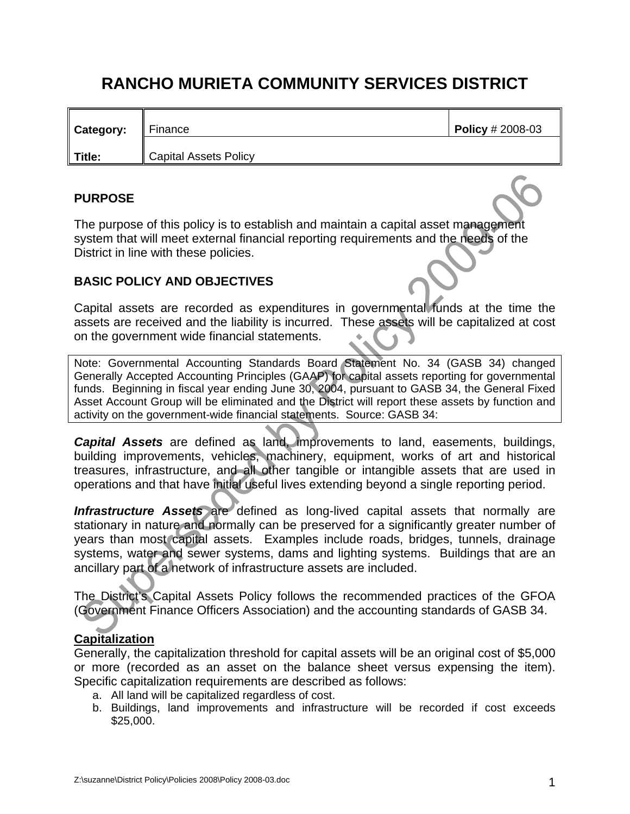# **RANCHO MURIETA COMMUNITY SERVICES DISTRICT**

| <b>Category:</b> | Finance               | Policy $\# 2008 - 03$ |
|------------------|-----------------------|-----------------------|
| Title:           | Capital Assets Policy |                       |

#### **PURPOSE**

The purpose of this policy is to establish and maintain a capital asset management system that will meet external financial reporting requirements and the needs of the District in line with these policies.

## **BASIC POLICY AND OBJECTIVES**

Capital assets are recorded as expenditures in governmental funds at the time the assets are received and the liability is incurred. These assets will be capitalized at cost on the government wide financial statements.

Note: Governmental Accounting Standards Board Statement No. 34 (GASB 34) changed Generally Accepted Accounting Principles (GAAP) for capital assets reporting for governmental funds. Beginning in fiscal year ending June 30, 2004, pursuant to GASB 34, the General Fixed Asset Account Group will be eliminated and the District will report these assets by function and activity on the government-wide financial statements. Source: GASB 34:

*Capital Assets* are defined as land, improvements to land, easements, buildings, building improvements, vehicles, machinery, equipment, works of art and historical treasures, infrastructure, and all other tangible or intangible assets that are used in operations and that have initial useful lives extending beyond a single reporting period.

*Infrastructure Assets* are defined as long-lived capital assets that normally are stationary in nature and normally can be preserved for a significantly greater number of years than most capital assets. Examples include roads, bridges, tunnels, drainage systems, water and sewer systems, dams and lighting systems. Buildings that are an ancillary part of a network of infrastructure assets are included.

The District's Capital Assets Policy follows the recommended practices of the GFOA (Government Finance Officers Association) and the accounting standards of GASB 34.

## **Capitalization**

Generally, the capitalization threshold for capital assets will be an original cost of \$5,000 or more (recorded as an asset on the balance sheet versus expensing the item). Specific capitalization requirements are described as follows:

- a. All land will be capitalized regardless of cost.
- b. Buildings, land improvements and infrastructure will be recorded if cost exceeds \$25,000.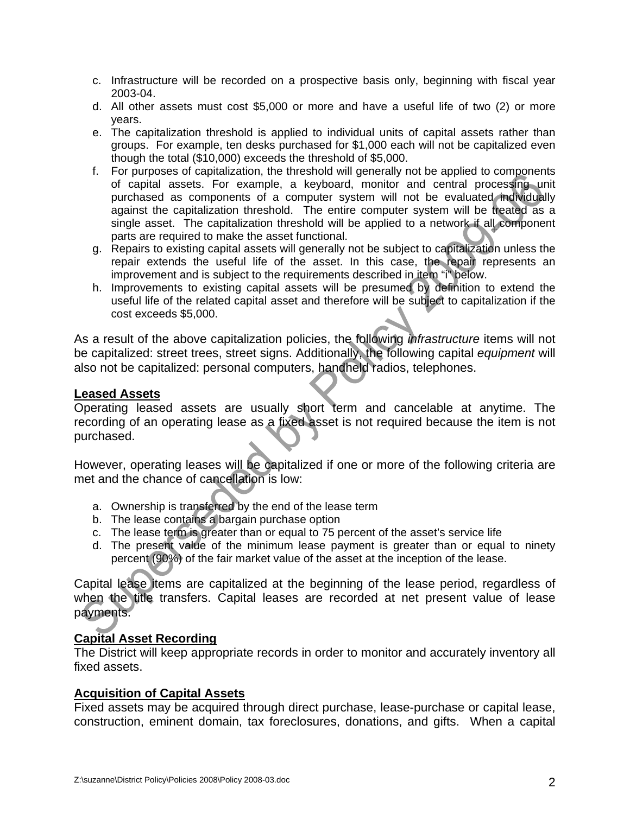- c. Infrastructure will be recorded on a prospective basis only, beginning with fiscal year 2003-04.
- d. All other assets must cost \$5,000 or more and have a useful life of two (2) or more years.
- e. The capitalization threshold is applied to individual units of capital assets rather than groups. For example, ten desks purchased for \$1,000 each will not be capitalized even though the total (\$10,000) exceeds the threshold of \$5,000.
- f. For purposes of capitalization, the threshold will generally not be applied to components of capital assets. For example, a keyboard, monitor and central processing unit purchased as components of a computer system will not be evaluated individually against the capitalization threshold. The entire computer system will be treated as a single asset. The capitalization threshold will be applied to a network if all component parts are required to make the asset functional.
- g. Repairs to existing capital assets will generally not be subject to capitalization unless the repair extends the useful life of the asset. In this case, the repair represents an improvement and is subject to the requirements described in item "i" below.
- h. Improvements to existing capital assets will be presumed by definition to extend the useful life of the related capital asset and therefore will be subject to capitalization if the cost exceeds \$5,000.

As a result of the above capitalization policies, the following *infrastructure* items will not be capitalized: street trees, street signs. Additionally, the following capital *equipment* will also not be capitalized: personal computers, handheld radios, telephones.

#### **Leased Assets**

Operating leased assets are usually short term and cancelable at anytime. The recording of an operating lease as a fixed asset is not required because the item is not purchased.

However, operating leases will be capitalized if one or more of the following criteria are met and the chance of cancellation is low:

- a. Ownership is transferred by the end of the lease term
- b. The lease contains a bargain purchase option
- c. The lease term is greater than or equal to 75 percent of the asset's service life
- d. The present value of the minimum lease payment is greater than or equal to ninety percent (90%) of the fair market value of the asset at the inception of the lease.

Capital lease items are capitalized at the beginning of the lease period, regardless of when the title transfers. Capital leases are recorded at net present value of lease payments.

## **Capital Asset Recording**

The District will keep appropriate records in order to monitor and accurately inventory all fixed assets.

#### **Acquisition of Capital Assets**

Fixed assets may be acquired through direct purchase, lease-purchase or capital lease, construction, eminent domain, tax foreclosures, donations, and gifts. When a capital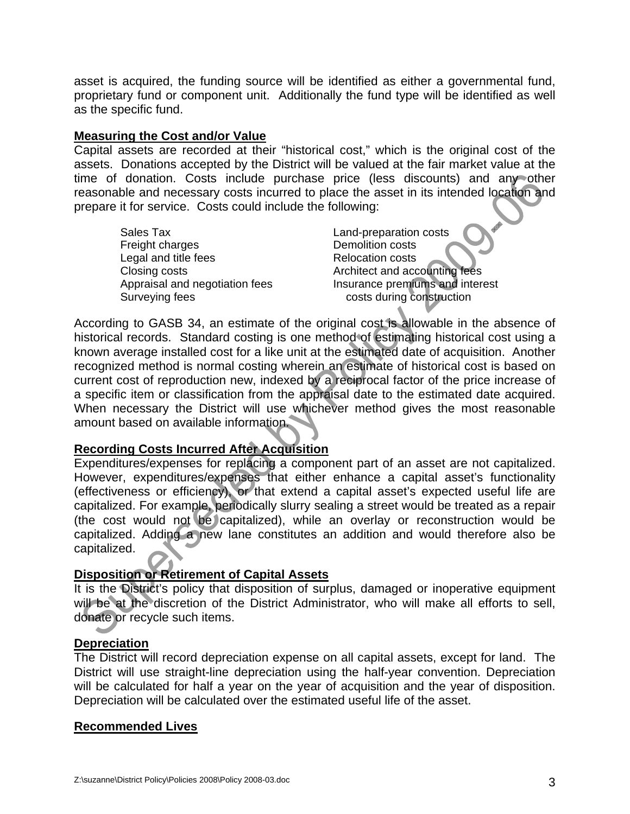asset is acquired, the funding source will be identified as either a governmental fund, proprietary fund or component unit. Additionally the fund type will be identified as well as the specific fund.

#### **Measuring the Cost and/or Value**

Capital assets are recorded at their "historical cost," which is the original cost of the assets. Donations accepted by the District will be valued at the fair market value at the time of donation. Costs include purchase price (less discounts) and any other reasonable and necessary costs incurred to place the asset in its intended location and prepare it for service. Costs could include the following:

Sales Tax **Contract Contract Contract Contract Contract Contract Contract Contract Contract Contract Contract Contract Contract Contract Contract Contract Contract Contract Contract Contract Contract Contract Contract Cont** Freight charges **Demolition costs** Legal and title fees Relocation costs Closing costs **Architect and accounting fees** Surveying fees **costs during construction** 

Appraisal and negotiation fees Insurance premiums and interest

According to GASB 34, an estimate of the original cost is allowable in the absence of historical records. Standard costing is one method of estimating historical cost using a known average installed cost for a like unit at the estimated date of acquisition. Another recognized method is normal costing wherein an estimate of historical cost is based on current cost of reproduction new, indexed by a reciprocal factor of the price increase of a specific item or classification from the appraisal date to the estimated date acquired. When necessary the District will use whichever method gives the most reasonable amount based on available information.

#### **Recording Costs Incurred After Acquisition**

Expenditures/expenses for replacing a component part of an asset are not capitalized. However, expenditures/expenses that either enhance a capital asset's functionality (effectiveness or efficiency), or that extend a capital asset's expected useful life are capitalized. For example, periodically slurry sealing a street would be treated as a repair (the cost would not be capitalized), while an overlay or reconstruction would be capitalized. Adding a new lane constitutes an addition and would therefore also be capitalized.

#### **Disposition or Retirement of Capital Assets**

It is the District's policy that disposition of surplus, damaged or inoperative equipment will be at the discretion of the District Administrator, who will make all efforts to sell, donate or recycle such items.

#### **Depreciation**

The District will record depreciation expense on all capital assets, except for land. The District will use straight-line depreciation using the half-year convention. Depreciation will be calculated for half a year on the year of acquisition and the year of disposition. Depreciation will be calculated over the estimated useful life of the asset.

#### **Recommended Lives**